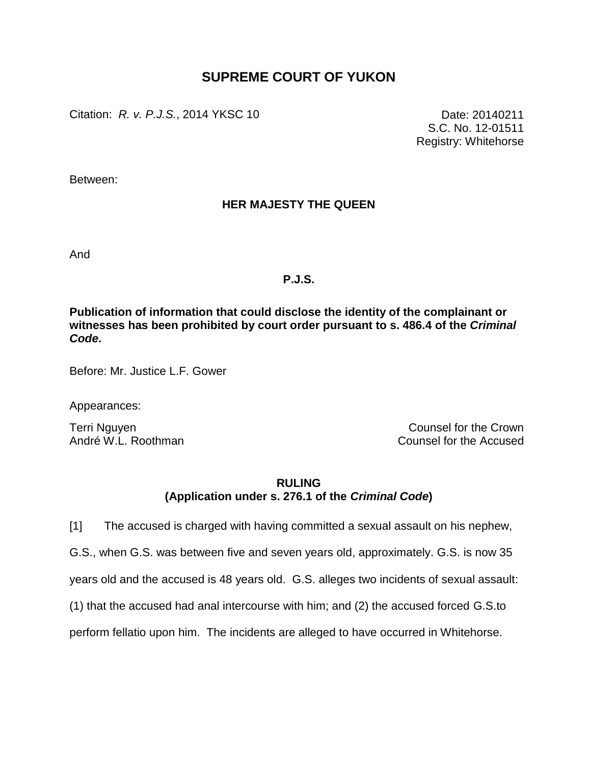## **SUPREME COURT OF YUKON**

Citation: *R. v. P.J.S.*, 2014 YKSC 10 Date: 20140211

S.C. No. 12-01511 Registry: Whitehorse

Between:

## **HER MAJESTY THE QUEEN**

And

## **P.J.S.**

**Publication of information that could disclose the identity of the complainant or witnesses has been prohibited by court order pursuant to s. 486.4 of the** *Criminal Code***.**

Before: Mr. Justice L.F. Gower

Appearances:

Terri Nguyen **Counsel for the Crown** André W.L. Roothman Counsel for the Accused

## **RULING (Application under s. 276.1 of the** *Criminal Code***)**

[1] The accused is charged with having committed a sexual assault on his nephew,

G.S., when G.S. was between five and seven years old, approximately. G.S. is now 35

years old and the accused is 48 years old. G.S. alleges two incidents of sexual assault:

(1) that the accused had anal intercourse with him; and (2) the accused forced G.S.to

perform fellatio upon him. The incidents are alleged to have occurred in Whitehorse.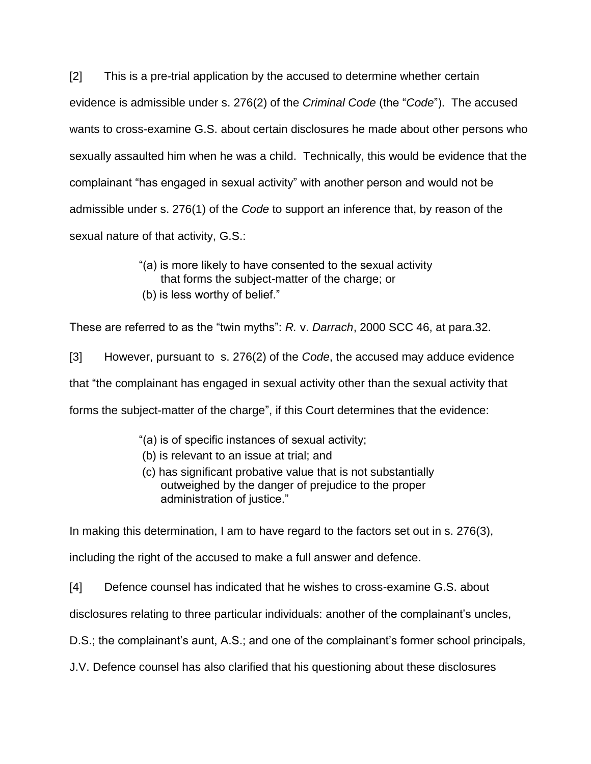[2] This is a pre-trial application by the accused to determine whether certain evidence is admissible under s. 276(2) of the *Criminal Code* (the "*Code*"). The accused wants to cross-examine G.S. about certain disclosures he made about other persons who sexually assaulted him when he was a child. Technically, this would be evidence that the complainant "has engaged in sexual activity" with another person and would not be admissible under s. 276(1) of the *Code* to support an inference that, by reason of the sexual nature of that activity, G.S.:

- "(a) is more likely to have consented to the sexual activity that forms the subject-matter of the charge; or
- (b) is less worthy of belief."

These are referred to as the "twin myths": *R.* v. *Darrach*, 2000 SCC 46, at para.32.

[3] However, pursuant to s. 276(2) of the *Code*, the accused may adduce evidence that "the complainant has engaged in sexual activity other than the sexual activity that forms the subject-matter of the charge", if this Court determines that the evidence:

- "(a) is of specific instances of sexual activity;
- (b) is relevant to an issue at trial; and
- (c) has significant probative value that is not substantially outweighed by the danger of prejudice to the proper administration of justice."

In making this determination, I am to have regard to the factors set out in s. 276(3),

including the right of the accused to make a full answer and defence.

[4] Defence counsel has indicated that he wishes to cross-examine G.S. about

disclosures relating to three particular individuals: another of the complainant's uncles,

D.S.; the complainant's aunt, A.S.; and one of the complainant's former school principals,

J.V. Defence counsel has also clarified that his questioning about these disclosures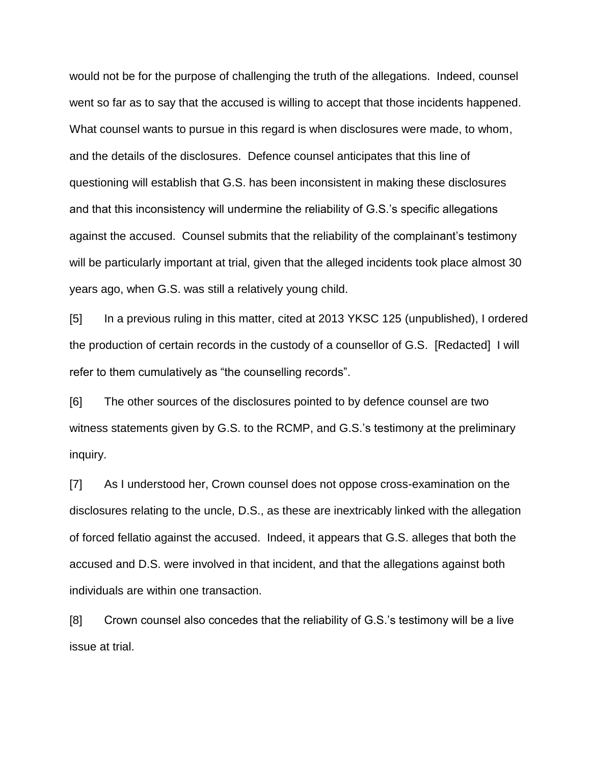would not be for the purpose of challenging the truth of the allegations. Indeed, counsel went so far as to say that the accused is willing to accept that those incidents happened. What counsel wants to pursue in this regard is when disclosures were made, to whom, and the details of the disclosures. Defence counsel anticipates that this line of questioning will establish that G.S. has been inconsistent in making these disclosures and that this inconsistency will undermine the reliability of G.S.'s specific allegations against the accused. Counsel submits that the reliability of the complainant's testimony will be particularly important at trial, given that the alleged incidents took place almost 30 years ago, when G.S. was still a relatively young child.

[5] In a previous ruling in this matter, cited at 2013 YKSC 125 (unpublished), I ordered the production of certain records in the custody of a counsellor of G.S. [Redacted] I will refer to them cumulatively as "the counselling records".

[6] The other sources of the disclosures pointed to by defence counsel are two witness statements given by G.S. to the RCMP, and G.S.'s testimony at the preliminary inquiry.

[7] As I understood her, Crown counsel does not oppose cross-examination on the disclosures relating to the uncle, D.S., as these are inextricably linked with the allegation of forced fellatio against the accused. Indeed, it appears that G.S. alleges that both the accused and D.S. were involved in that incident, and that the allegations against both individuals are within one transaction.

[8] Crown counsel also concedes that the reliability of G.S.'s testimony will be a live issue at trial.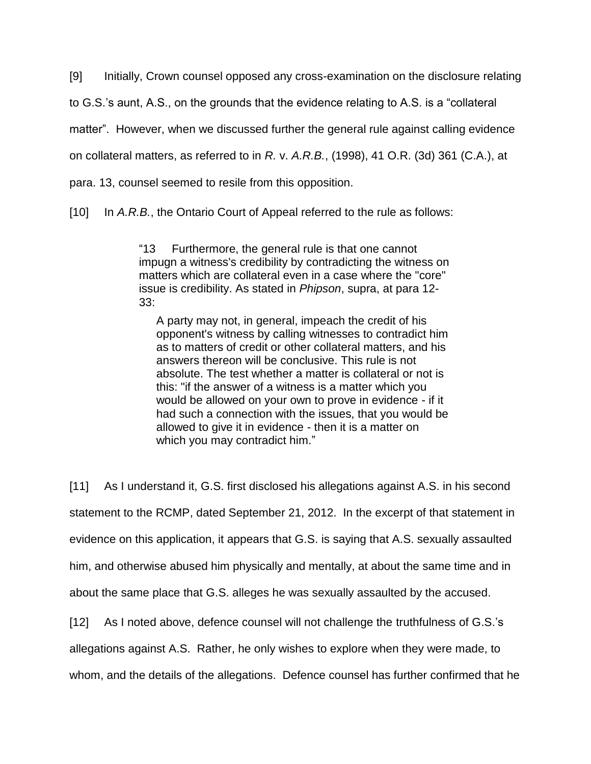[9] Initially, Crown counsel opposed any cross-examination on the disclosure relating to G.S.'s aunt, A.S., on the grounds that the evidence relating to A.S. is a "collateral matter". However, when we discussed further the general rule against calling evidence on collateral matters, as referred to in *R.* v. *A.R.B.*, (1998), 41 O.R. (3d) 361 (C.A.), at para. 13, counsel seemed to resile from this opposition.

[10] In *A.R.B.*, the Ontario Court of Appeal referred to the rule as follows:

"13 Furthermore, the general rule is that one cannot impugn a witness's credibility by contradicting the witness on matters which are collateral even in a case where the "core" issue is credibility. As stated in *Phipson*, supra, at para 12- 33:

A party may not, in general, impeach the credit of his opponent's witness by calling witnesses to contradict him as to matters of credit or other collateral matters, and his answers thereon will be conclusive. This rule is not absolute. The test whether a matter is collateral or not is this: "if the answer of a witness is a matter which you would be allowed on your own to prove in evidence - if it had such a connection with the issues, that you would be allowed to give it in evidence - then it is a matter on which you may contradict him."

[11] As I understand it, G.S. first disclosed his allegations against A.S. in his second statement to the RCMP, dated September 21, 2012. In the excerpt of that statement in evidence on this application, it appears that G.S. is saying that A.S. sexually assaulted him, and otherwise abused him physically and mentally, at about the same time and in about the same place that G.S. alleges he was sexually assaulted by the accused.

[12] As I noted above, defence counsel will not challenge the truthfulness of G.S.'s

allegations against A.S. Rather, he only wishes to explore when they were made, to

whom, and the details of the allegations. Defence counsel has further confirmed that he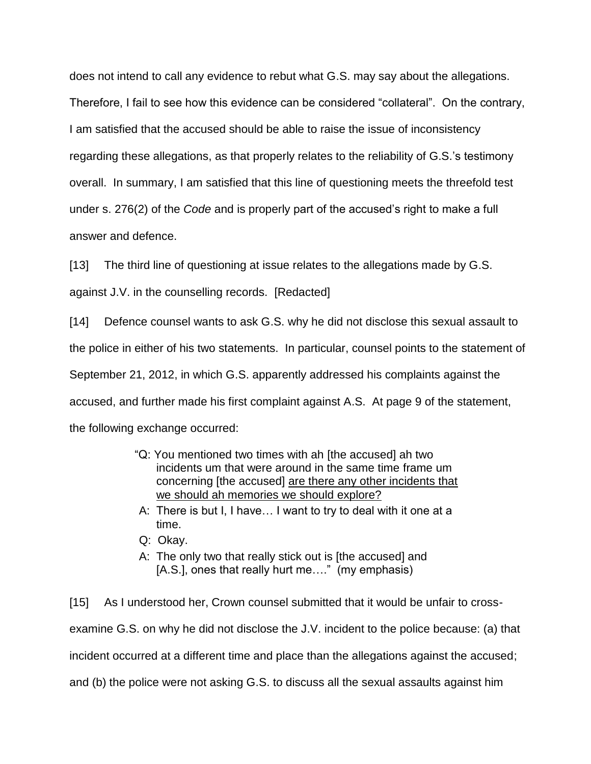does not intend to call any evidence to rebut what G.S. may say about the allegations. Therefore, I fail to see how this evidence can be considered "collateral". On the contrary, I am satisfied that the accused should be able to raise the issue of inconsistency regarding these allegations, as that properly relates to the reliability of G.S.'s testimony overall. In summary, I am satisfied that this line of questioning meets the threefold test under s. 276(2) of the *Code* and is properly part of the accused's right to make a full answer and defence.

[13] The third line of questioning at issue relates to the allegations made by G.S.

against J.V. in the counselling records. [Redacted]

[14] Defence counsel wants to ask G.S. why he did not disclose this sexual assault to the police in either of his two statements. In particular, counsel points to the statement of September 21, 2012, in which G.S. apparently addressed his complaints against the accused, and further made his first complaint against A.S. At page 9 of the statement, the following exchange occurred:

- "Q: You mentioned two times with ah [the accused] ah two incidents um that were around in the same time frame um concerning [the accused] are there any other incidents that we should ah memories we should explore?
- A: There is but I, I have… I want to try to deal with it one at a time.
- Q: Okay.
- A: The only two that really stick out is [the accused] and [A.S.], ones that really hurt me…." (my emphasis)

[15] As I understood her, Crown counsel submitted that it would be unfair to crossexamine G.S. on why he did not disclose the J.V. incident to the police because: (a) that incident occurred at a different time and place than the allegations against the accused; and (b) the police were not asking G.S. to discuss all the sexual assaults against him